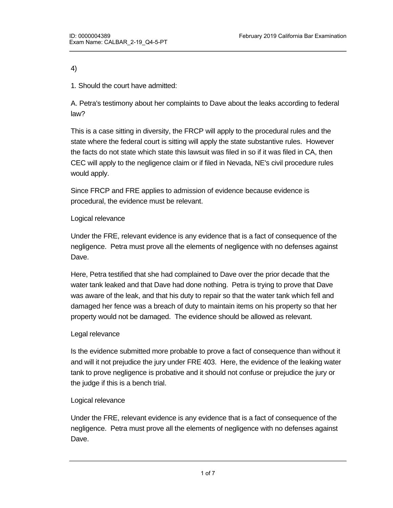4)

1. Should the court have admitted:

A. Petra's testimony about her complaints to Dave about the leaks according to federal law?

This is a case sitting in diversity, the FRCP will apply to the procedural rules and the state where the federal court is sitting will apply the state substantive rules. However the facts do not state which state this lawsuit was filed in so if it was filed in CA, then CEC will apply to the negligence claim or if filed in Nevada, NE's civil procedure rules would apply.

Since FRCP and FRE applies to admission of evidence because evidence is procedural, the evidence must be relevant.

# Logical relevance

Under the FRE, relevant evidence is any evidence that is a fact of consequence of the negligence. Petra must prove all the elements of negligence with no defenses against Dave.

Here, Petra testified that she had complained to Dave over the prior decade that the water tank leaked and that Dave had done nothing. Petra is trying to prove that Dave was aware of the leak, and that his duty to repair so that the water tank which fell and damaged her fence was a breach of duty to maintain items on his property so that her property would not be damaged. The evidence should be allowed as relevant.

# Legal relevance

Is the evidence submitted more probable to prove a fact of consequence than without it and will it not prejudice the jury under FRE 403. Here, the evidence of the leaking water tank to prove negligence is probative and it should not confuse or prejudice the jury or the judge if this is a bench trial.

# Logical relevance

Under the FRE, relevant evidence is any evidence that is a fact of consequence of the negligence. Petra must prove all the elements of negligence with no defenses against Dave.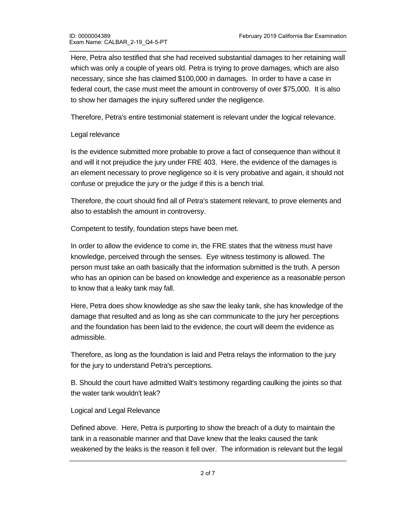Here, Petra also testified that she had received substantial damages to her retaining wall which was only a couple of years old. Petra is trying to prove damages, which are also necessary, since she has claimed \$100,000 in damages. In order to have a case in federal court, the case must meet the amount in controversy of over \$75,000. It is also to show her damages the injury suffered under the negligence.

Therefore, Petra's entire testimonial statement is relevant under the logical relevance.

## Legal relevance

Is the evidence submitted more probable to prove a fact of consequence than without it and will it not prejudice the jury under FRE 403. Here, the evidence of the damages is an element necessary to prove negligence so it is very probative and again, it should not confuse or prejudice the jury or the judge if this is a bench trial.

Therefore, the court should find all of Petra's statement relevant, to prove elements and also to establish the amount in controversy.

Competent to testify, foundation steps have been met.

In order to allow the evidence to come in, the FRE states that the witness must have knowledge, perceived through the senses. Eye witness testimony is allowed. The person must take an oath basically that the information submitted is the truth. A person who has an opinion can be based on knowledge and experience as a reasonable person to know that a leaky tank may fall.

Here, Petra does show knowledge as she saw the leaky tank, she has knowledge of the damage that resulted and as long as she can communicate to the jury her perceptions and the foundation has been laid to the evidence, the court will deem the evidence as admissible.

Therefore, as long as the foundation is laid and Petra relays the information to the jury for the jury to understand Petra's perceptions.

B. Should the court have admitted Walt's testimony regarding caulking the joints so that the water tank wouldn't leak?

## Logical and Legal Relevance

Defined above. Here, Petra is purporting to show the breach of a duty to maintain the tank in a reasonable manner and that Dave knew that the leaks caused the tank weakened by the leaks is the reason it fell over. The information is relevant but the legal

relevance may confuse the jury so the court will have to instruct the jury that it cannot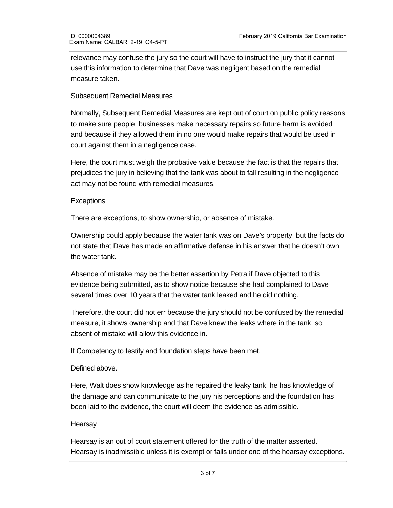relevance may confuse the jury so the court will have to instruct the jury that it cannot use this information to determine that Dave was negligent based on the remedial measure taken.

### Subsequent Remedial Measures

Normally, Subsequent Remedial Measures are kept out of court on public policy reasons to make sure people, businesses make necessary repairs so future harm is avoided and because if they allowed them in no one would make repairs that would be used in court against them in a negligence case.

Here, the court must weigh the probative value because the fact is that the repairs that prejudices the jury in believing that the tank was about to fall resulting in the negligence act may not be found with remedial measures.

### **Exceptions**

There are exceptions, to show ownership, or absence of mistake.

Ownership could apply because the water tank was on Dave's property, but the facts do not state that Dave has made an affirmative defense in his answer that he doesn't own the water tank.

Absence of mistake may be the better assertion by Petra if Dave objected to this evidence being submitted, as to show notice because she had complained to Dave several times over 10 years that the water tank leaked and he did nothing.

Therefore, the court did not err because the jury should not be confused by the remedial measure, it shows ownership and that Dave knew the leaks where in the tank, so absent of mistake will allow this evidence in.

If Competency to testify and foundation steps have been met.

## Defined above.

Here, Walt does show knowledge as he repaired the leaky tank, he has knowledge of the damage and can communicate to the jury his perceptions and the foundation has been laid to the evidence, the court will deem the evidence as admissible.

#### Hearsay

Hearsay is an out of court statement offered for the truth of the matter asserted. Hearsay is inadmissible unless it is exempt or falls under one of the hearsay exceptions.

Walt is attempting to testify that Dave instructed him to testify that Dave instructed him to caulk all the joints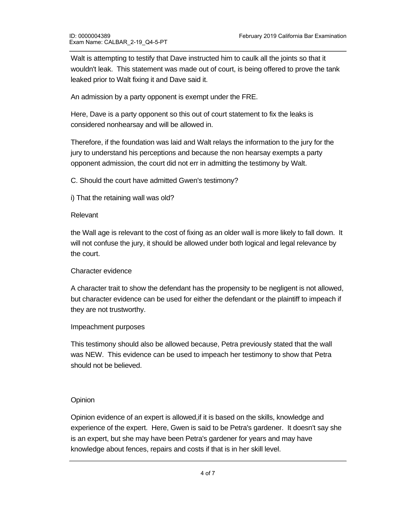Walt is attempting to testify that Dave instructed him to caulk all the joints so that it wouldn't leak. This statement was made out of court, is being offered to prove the tank leaked prior to Walt fixing it and Dave said it.

An admission by a party opponent is exempt under the FRE.

Here, Dave is a party opponent so this out of court statement to fix the leaks is considered nonhearsay and will be allowed in.

Therefore, if the foundation was laid and Walt relays the information to the jury for the jury to understand his perceptions and because the non hearsay exempts a party opponent admission, the court did not err in admitting the testimony by Walt.

C. Should the court have admitted Gwen's testimony?

i) That the retaining wall was old?

#### Relevant

the Wall age is relevant to the cost of fixing as an older wall is more likely to fall down. It will not confuse the jury, it should be allowed under both logical and legal relevance by the court.

#### Character evidence

A character trait to show the defendant has the propensity to be negligent is not allowed, but character evidence can be used for either the defendant or the plaintiff to impeach if they are not trustworthy.

#### Impeachment purposes

This testimony should also be allowed because, Petra previously stated that the wall was NEW. This evidence can be used to impeach her testimony to show that Petra should not be believed.

## **Opinion**

Opinion evidence of an expert is allowed,if it is based on the skills, knowledge and experience of the expert. Here, Gwen is said to be Petra's gardener. It doesn't say she is an expert, but she may have been Petra's gardener for years and may have knowledge about fences, repairs and costs if that is in her skill level.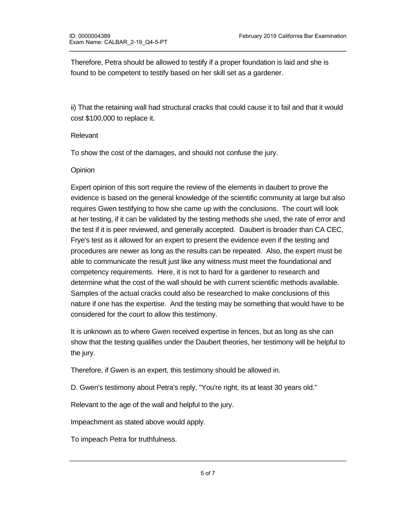Therefore, Petra should be allowed to testify if a proper foundation is laid and she is found to be competent to testify based on her skill set as a gardener.

ii) That the retaining wall had structural cracks that could cause it to fail and that it would cost \$100,000 to replace it.

## Relevant

To show the cost of the damages, and should not confuse the jury.

## **Opinion**

Expert opinion of this sort require the review of the elements in daubert to prove the evidence is based on the general knowledge of the scientific community at large but also requires Gwen testifying to how she came up with the conclusions. The court will look at her testing, if it can be validated by the testing methods she used, the rate of error and the test if it is peer reviewed, and generally accepted. Daubert is broader than CA CEC, Frye's test as it allowed for an expert to present the evidence even if the testing and procedures are newer as long as the results can be repeated. Also, the expert must be able to communicate the result just like any witness must meet the foundational and competency requirements. Here, it is not to hard for a gardener to research and determine what the cost of the wall should be with current scientific methods available. Samples of the actual cracks could also be researched to make conclusions of this nature if one has the expertise. And the testing may be something that would have to be considered for the court to allow this testimony.

It is unknown as to where Gwen received expertise in fences, but as long as she can show that the testing qualifies under the Daubert theories, her testimony will be helpful to the jury.

Therefore, if Gwen is an expert, this testimony should be allowed in.

D. Gwen's testimony about Petra's reply, "You're right, its at least 30 years old."

Relevant to the age of the wall and helpful to the jury.

Impeachment as stated above would apply.

To impeach Petra for truthfulness.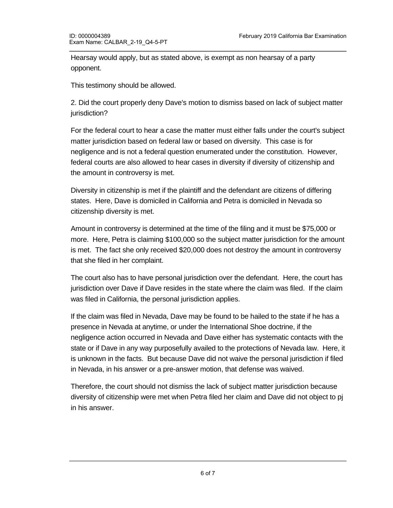Hearsay would apply, but as stated above, is exempt as non hearsay of a party opponent.

This testimony should be allowed.

2. Did the court properly deny Dave's motion to dismiss based on lack of subject matter jurisdiction?

For the federal court to hear a case the matter must either falls under the court's subject matter jurisdiction based on federal law or based on diversity. This case is for negligence and is not a federal question enumerated under the constitution. However, federal courts are also allowed to hear cases in diversity if diversity of citizenship and the amount in controversy is met.

Diversity in citizenship is met if the plaintiff and the defendant are citizens of differing states. Here, Dave is domiciled in California and Petra is domiciled in Nevada so citizenship diversity is met.

Amount in controversy is determined at the time of the filing and it must be \$75,000 or more. Here, Petra is claiming \$100,000 so the subject matter jurisdiction for the amount is met. The fact she only received \$20,000 does not destroy the amount in controversy that she filed in her complaint.

The court also has to have personal jurisdiction over the defendant. Here, the court has jurisdiction over Dave if Dave resides in the state where the claim was filed. If the claim was filed in California, the personal jurisdiction applies.

If the claim was filed in Nevada, Dave may be found to be hailed to the state if he has a presence in Nevada at anytime, or under the International Shoe doctrine, if the negligence action occurred in Nevada and Dave either has systematic contacts with the state or if Dave in any way purposefully availed to the protections of Nevada law. Here, it is unknown in the facts. But because Dave did not waive the personal jurisdiction if filed in Nevada, in his answer or a pre-answer motion, that defense was waived.

Therefore, the court should not dismiss the lack of subject matter jurisdiction because diversity of citizenship were met when Petra filed her claim and Dave did not object to pj in his answer.